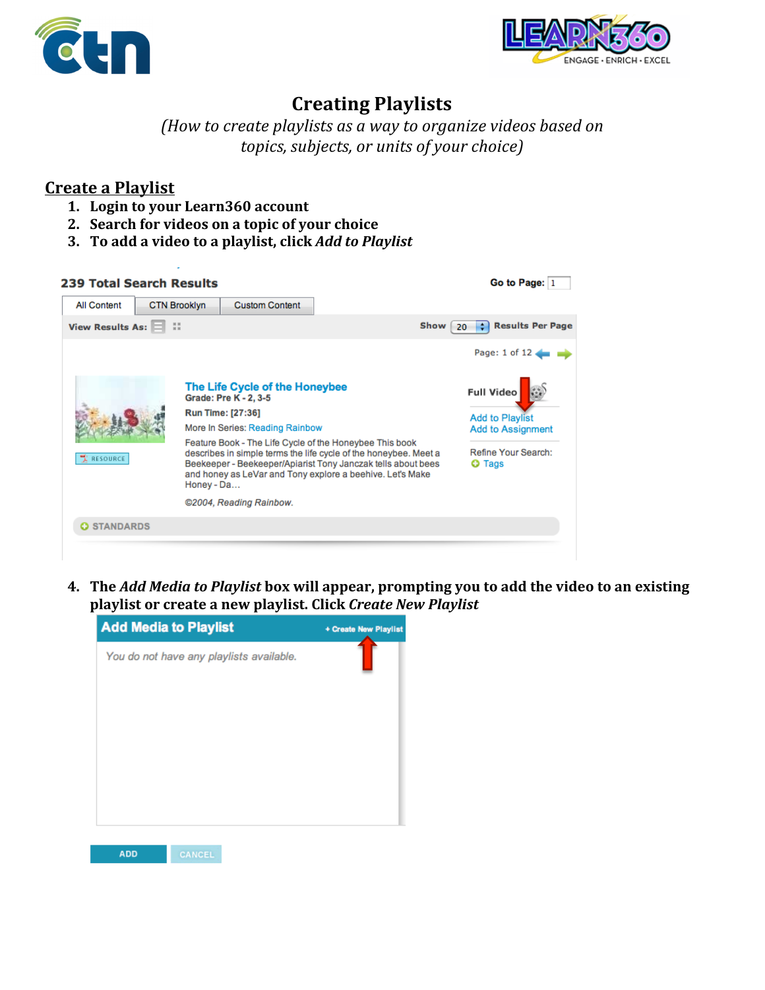



## **Creating Playlists**

*(How%to%create%playlists%as%a%way%to%organize%videos%based%on topics, subjects, or units of your choice)* 

## **Create a Playlist**

- **1.** Login to your Learn360 account
- 2. **Search for videos on a topic of your choice**
- **3.** To add a video to a playlist, click *Add to Playlist*

| <b>239 Total Search Results</b> |                     |            |                                                                                                                                                                                                                                                          |                                                    | Go to Page: 1                      |
|---------------------------------|---------------------|------------|----------------------------------------------------------------------------------------------------------------------------------------------------------------------------------------------------------------------------------------------------------|----------------------------------------------------|------------------------------------|
| <b>All Content</b>              | <b>CTN Brooklyn</b> |            | <b>Custom Content</b>                                                                                                                                                                                                                                    |                                                    |                                    |
| View Results As:                |                     |            |                                                                                                                                                                                                                                                          | Show                                               | <b>Results Per Page</b><br>۴<br>20 |
|                                 |                     |            |                                                                                                                                                                                                                                                          |                                                    | Page: 1 of 12                      |
| RESOURCE                        |                     |            | The Life Cycle of the Honeybee<br>Grade: Pre K - 2, 3-5<br><b>Run Time: [27:36]</b>                                                                                                                                                                      |                                                    | <b>Full Video</b>                  |
|                                 |                     |            | More In Series: Reading Rainbow                                                                                                                                                                                                                          | <b>Add to Playlist</b><br><b>Add to Assignment</b> |                                    |
|                                 |                     | Honey - Da | Feature Book - The Life Cycle of the Honeybee This book<br>describes in simple terms the life cycle of the honeybee. Meet a<br>Beekeeper - Beekeeper/Apiarist Tony Janczak tells about bees<br>and honey as LeVar and Tony explore a beehive. Let's Make | Refine Your Search:<br><b>O</b> Tags               |                                    |
|                                 |                     |            | ©2004, Reading Rainbow.                                                                                                                                                                                                                                  |                                                    |                                    |
| <b>O STANDARDS</b>              |                     |            |                                                                                                                                                                                                                                                          |                                                    |                                    |
|                                 |                     |            |                                                                                                                                                                                                                                                          |                                                    |                                    |

**4.** The *Add Media to Playlist* box will appear, prompting you to add the video to an existing playlist or create a new playlist. Click Create New Playlist